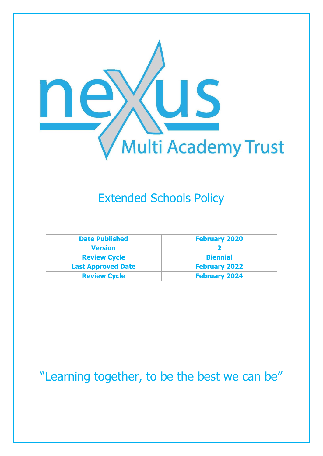

# Extended Schools Policy

| <b>Date Published</b>     | <b>February 2020</b> |
|---------------------------|----------------------|
| <b>Version</b>            |                      |
| <b>Review Cycle</b>       | <b>Biennial</b>      |
| <b>Last Approved Date</b> | <b>February 2022</b> |
| <b>Review Cycle</b>       | <b>February 2024</b> |

# "Learning together, to be the best we can be"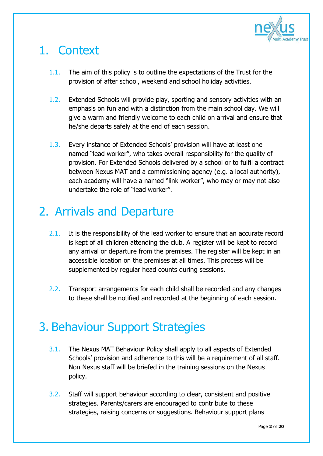

# 1. Context

- 1.1. The aim of this policy is to outline the expectations of the Trust for the provision of after school, weekend and school holiday activities.
- 1.2. Extended Schools will provide play, sporting and sensory activities with an emphasis on fun and with a distinction from the main school day. We will give a warm and friendly welcome to each child on arrival and ensure that he/she departs safely at the end of each session.
- 1.3. Every instance of Extended Schools' provision will have at least one named "lead worker", who takes overall responsibility for the quality of provision. For Extended Schools delivered by a school or to fulfil a contract between Nexus MAT and a commissioning agency (e.g. a local authority), each academy will have a named "link worker", who may or may not also undertake the role of "lead worker".

# 2. Arrivals and Departure

- 2.1. It is the responsibility of the lead worker to ensure that an accurate record is kept of all children attending the club. A register will be kept to record any arrival or departure from the premises. The register will be kept in an accessible location on the premises at all times. This process will be supplemented by regular head counts during sessions.
- 2.2. Transport arrangements for each child shall be recorded and any changes to these shall be notified and recorded at the beginning of each session.

# 3. Behaviour Support Strategies

- 3.1. The Nexus MAT Behaviour Policy shall apply to all aspects of Extended Schools' provision and adherence to this will be a requirement of all staff. Non Nexus staff will be briefed in the training sessions on the Nexus policy.
- 3.2. Staff will support behaviour according to clear, consistent and positive strategies. Parents/carers are encouraged to contribute to these strategies, raising concerns or suggestions. Behaviour support plans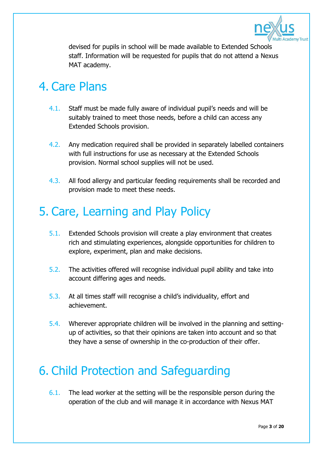

devised for pupils in school will be made available to Extended Schools staff. Information will be requested for pupils that do not attend a Nexus MAT academy.

### 4. Care Plans

- 4.1. Staff must be made fully aware of individual pupil's needs and will be suitably trained to meet those needs, before a child can access any Extended Schools provision.
- 4.2. Any medication required shall be provided in separately labelled containers with full instructions for use as necessary at the Extended Schools provision. Normal school supplies will not be used.
- 4.3. All food allergy and particular feeding requirements shall be recorded and provision made to meet these needs.

# 5. Care, Learning and Play Policy

- 5.1. Extended Schools provision will create a play environment that creates rich and stimulating experiences, alongside opportunities for children to explore, experiment, plan and make decisions.
- 5.2. The activities offered will recognise individual pupil ability and take into account differing ages and needs.
- 5.3. At all times staff will recognise a child's individuality, effort and achievement.
- 5.4. Wherever appropriate children will be involved in the planning and settingup of activities, so that their opinions are taken into account and so that they have a sense of ownership in the co-production of their offer.

# 6. Child Protection and Safeguarding

6.1. The lead worker at the setting will be the responsible person during the operation of the club and will manage it in accordance with Nexus MAT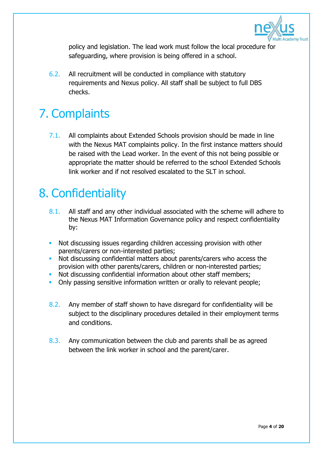

policy and legislation. The lead work must follow the local procedure for safeguarding, where provision is being offered in a school.

6.2. All recruitment will be conducted in compliance with statutory requirements and Nexus policy. All staff shall be subject to full DBS checks.

# 7. Complaints

7.1. All complaints about Extended Schools provision should be made in line with the Nexus MAT complaints policy. In the first instance matters should be raised with the Lead worker. In the event of this not being possible or appropriate the matter should be referred to the school Extended Schools link worker and if not resolved escalated to the SLT in school.

### 8. Confidentiality

- 8.1. All staff and any other individual associated with the scheme will adhere to the Nexus MAT Information Governance policy and respect confidentiality by:
- Not discussing issues regarding children accessing provision with other parents/carers or non-interested parties;
- Not discussing confidential matters about parents/carers who access the provision with other parents/carers, children or non-interested parties;
- Not discussing confidential information about other staff members;
- Only passing sensitive information written or orally to relevant people;
- 8.2. Any member of staff shown to have disregard for confidentiality will be subject to the disciplinary procedures detailed in their employment terms and conditions.
- 8.3. Any communication between the club and parents shall be as agreed between the link worker in school and the parent/carer.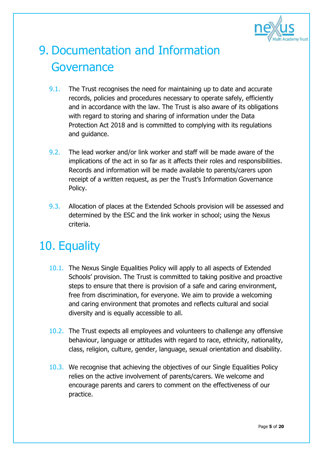

# 9. Documentation and Information **Governance**

- 9.1. The Trust recognises the need for maintaining up to date and accurate records, policies and procedures necessary to operate safely, efficiently and in accordance with the law. The Trust is also aware of its obligations with regard to storing and sharing of information under the Data Protection Act 2018 and is committed to complying with its regulations and guidance.
- 9.2. The lead worker and/or link worker and staff will be made aware of the implications of the act in so far as it affects their roles and responsibilities. Records and information will be made available to parents/carers upon receipt of a written request, as per the Trust's Information Governance Policy.
- 9.3. Allocation of places at the Extended Schools provision will be assessed and determined by the ESC and the link worker in school; using the Nexus criteria.

# 10. Equality

- 10.1. The Nexus Single Equalities Policy will apply to all aspects of Extended Schools' provision. The Trust is committed to taking positive and proactive steps to ensure that there is provision of a safe and caring environment, free from discrimination, for everyone. We aim to provide a welcoming and caring environment that promotes and reflects cultural and social diversity and is equally accessible to all.
- 10.2. The Trust expects all employees and volunteers to challenge any offensive behaviour, language or attitudes with regard to race, ethnicity, nationality, class, religion, culture, gender, language, sexual orientation and disability.
- 10.3. We recognise that achieving the objectives of our Single Equalities Policy relies on the active involvement of parents/carers. We welcome and encourage parents and carers to comment on the effectiveness of our practice.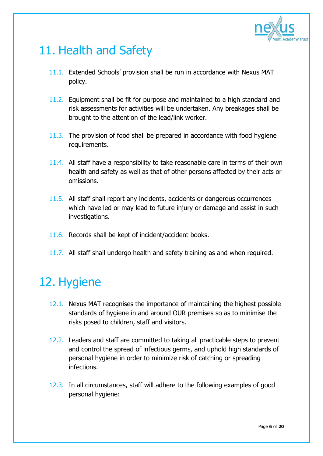

# 11. Health and Safety

- 11.1. Extended Schools' provision shall be run in accordance with Nexus MAT policy.
- 11.2. Equipment shall be fit for purpose and maintained to a high standard and risk assessments for activities will be undertaken. Any breakages shall be brought to the attention of the lead/link worker.
- 11.3. The provision of food shall be prepared in accordance with food hygiene requirements.
- 11.4. All staff have a responsibility to take reasonable care in terms of their own health and safety as well as that of other persons affected by their acts or omissions.
- 11.5. All staff shall report any incidents, accidents or dangerous occurrences which have led or may lead to future injury or damage and assist in such investigations.
- 11.6. Records shall be kept of incident/accident books.
- 11.7. All staff shall undergo health and safety training as and when required.

# 12. Hygiene

- 12.1. Nexus MAT recognises the importance of maintaining the highest possible standards of hygiene in and around OUR premises so as to minimise the risks posed to children, staff and visitors.
- 12.2. Leaders and staff are committed to taking all practicable steps to prevent and control the spread of infectious germs, and uphold high standards of personal hygiene in order to minimize risk of catching or spreading infections.
- 12.3. In all circumstances, staff will adhere to the following examples of good personal hygiene: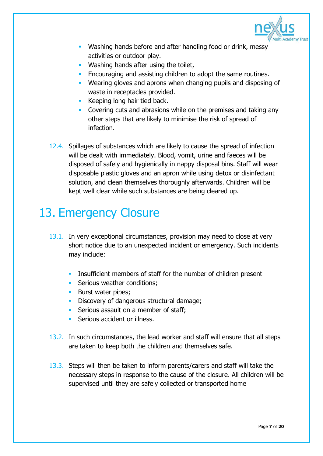

- **Washing hands before and after handling food or drink, messy** activities or outdoor play.
- **Washing hands after using the toilet,**
- **Encouraging and assisting children to adopt the same routines.**
- Wearing gloves and aprons when changing pupils and disposing of waste in receptacles provided.
- Keeping long hair tied back.
- Covering cuts and abrasions while on the premises and taking any other steps that are likely to minimise the risk of spread of infection.
- 12.4. Spillages of substances which are likely to cause the spread of infection will be dealt with immediately. Blood, vomit, urine and faeces will be disposed of safely and hygienically in nappy disposal bins. Staff will wear disposable plastic gloves and an apron while using detox or disinfectant solution, and clean themselves thoroughly afterwards. Children will be kept well clear while such substances are being cleared up.

# 13. Emergency Closure

- 13.1. In very exceptional circumstances, provision may need to close at very short notice due to an unexpected incident or emergency. Such incidents may include:
	- **Insufficient members of staff for the number of children present**
	- Serious weather conditions:
	- **Burst water pipes;**
	- Discovery of dangerous structural damage;
	- Serious assault on a member of staff;
	- Serious accident or illness.
- 13.2. In such circumstances, the lead worker and staff will ensure that all steps are taken to keep both the children and themselves safe.
- 13.3. Steps will then be taken to inform parents/carers and staff will take the necessary steps in response to the cause of the closure. All children will be supervised until they are safely collected or transported home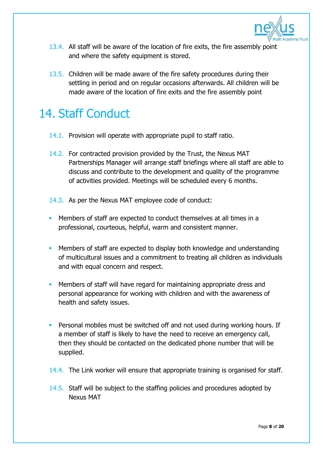

- 13.4. All staff will be aware of the location of fire exits, the fire assembly point and where the safety equipment is stored.
- 13.5. Children will be made aware of the fire safety procedures during their settling in period and on regular occasions afterwards. All children will be made aware of the location of fire exits and the fire assembly point

# 14. Staff Conduct

- 14.1. Provision will operate with appropriate pupil to staff ratio.
- 14.2. For contracted provision provided by the Trust, the Nexus MAT Partnerships Manager will arrange staff briefings where all staff are able to discuss and contribute to the development and quality of the programme of activities provided. Meetings will be scheduled every 6 months.
- 14.3. As per the Nexus MAT employee code of conduct:
- Members of staff are expected to conduct themselves at all times in a professional, courteous, helpful, warm and consistent manner.
- **Members of staff are expected to display both knowledge and understanding** of multicultural issues and a commitment to treating all children as individuals and with equal concern and respect.
- Members of staff will have regard for maintaining appropriate dress and personal appearance for working with children and with the awareness of health and safety issues.
- **Personal mobiles must be switched off and not used during working hours. If** a member of staff is likely to have the need to receive an emergency call, then they should be contacted on the dedicated phone number that will be supplied.
- 14.4. The Link worker will ensure that appropriate training is organised for staff.
- 14.5. Staff will be subject to the staffing policies and procedures adopted by Nexus MAT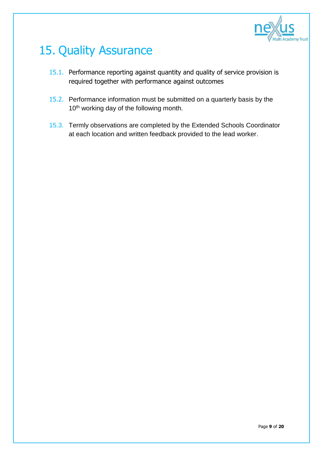

# 15. Quality Assurance

- 15.1. Performance reporting against quantity and quality of service provision is required together with performance against outcomes
- 15.2. Performance information must be submitted on a quarterly basis by the 10<sup>th</sup> working day of the following month.
- 15.3. Termly observations are completed by the Extended Schools Coordinator at each location and written feedback provided to the lead worker.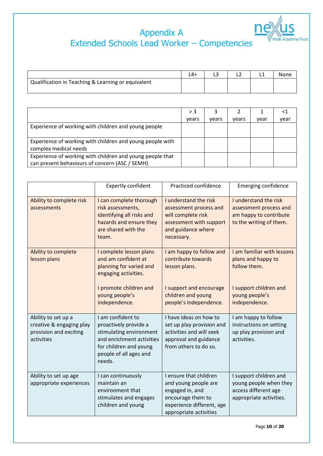

### Appendix A Extended Schools Lead Worker – Competencies

|                                                    | $4+$ |  | None |
|----------------------------------------------------|------|--|------|
| Qualification in Teaching & Learning or equivalent |      |  |      |
|                                                    |      |  |      |

|                                                                                                             | > 3   |       |       |      |      |
|-------------------------------------------------------------------------------------------------------------|-------|-------|-------|------|------|
|                                                                                                             | vears | vears | vears | vear | vear |
| Experience of working with children and young people                                                        |       |       |       |      |      |
| Experience of working with children and young people with<br>complex medical needs                          |       |       |       |      |      |
| Experience of working with children and young people that<br>can present behaviours of concern (ASC / SEMH) |       |       |       |      |      |

|                                                                                         | <b>Expertly confident</b>                                                                                                                                        | Practiced confidence                                                                                                                          | <b>Emerging confidence</b>                                                                                                    |
|-----------------------------------------------------------------------------------------|------------------------------------------------------------------------------------------------------------------------------------------------------------------|-----------------------------------------------------------------------------------------------------------------------------------------------|-------------------------------------------------------------------------------------------------------------------------------|
| Ability to complete risk<br>assessments                                                 | I can complete thorough<br>risk assessments,<br>identifying all risks and<br>hazards and ensure they<br>are shared with the<br>team.                             | I understand the risk<br>assessment process and<br>will complete risk<br>assessment with support<br>and guidance where<br>necessary.          | I understand the risk<br>assessment process and<br>am happy to contribute<br>to the writing of them.                          |
| Ability to complete<br>lesson plans                                                     | I complete lesson plans<br>and am confident at<br>planning for varied and<br>engaging activities.<br>I promote children and<br>young people's<br>independence.   | I am happy to follow and<br>contribute towards<br>lesson plans.<br>I support and encourage<br>children and young<br>people's independence.    | I am familiar with lessons<br>plans and happy to<br>follow them.<br>I support children and<br>young people's<br>independence. |
| Ability to set up a<br>creative & engaging play<br>provision and exciting<br>activities | I am confident to<br>proactively provide a<br>stimulating environment<br>and enrichment activities<br>for children and young<br>people of all ages and<br>needs. | I have ideas on how to<br>set up play provision and<br>activities and will seek<br>approval and guidance<br>from others to do so.             | I am happy to follow<br>instructions on setting<br>up play provision and<br>activities.                                       |
| Ability to set up age<br>appropriate experiences                                        | I can continuously<br>maintain an<br>environment that<br>stimulates and engages<br>children and young                                                            | I ensure that children<br>and young people are<br>engaged in, and<br>encourage them to<br>experience different, age<br>appropriate activities | I support children and<br>young people when they<br>access different age<br>appropriate activities.                           |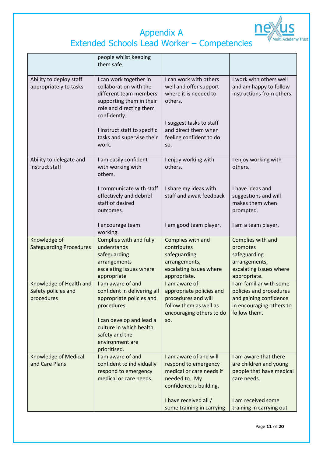

### Appendix A Extended Schools Lead Worker – Competencies

|                                                              | people whilst keeping<br>them safe.                                                                                                                                                                                     |                                                                                                                                                                              |                                                                                                                                              |
|--------------------------------------------------------------|-------------------------------------------------------------------------------------------------------------------------------------------------------------------------------------------------------------------------|------------------------------------------------------------------------------------------------------------------------------------------------------------------------------|----------------------------------------------------------------------------------------------------------------------------------------------|
| Ability to deploy staff<br>appropriately to tasks            | I can work together in<br>collaboration with the<br>different team members<br>supporting them in their<br>role and directing them<br>confidently.<br>I instruct staff to specific<br>tasks and supervise their<br>work. | I can work with others<br>well and offer support<br>where it is needed to<br>others.<br>I suggest tasks to staff<br>and direct them when<br>feeling confident to do<br>SO.   | I work with others well<br>and am happy to follow<br>instructions from others.                                                               |
| Ability to delegate and<br>instruct staff                    | I am easily confident<br>with working with<br>others.                                                                                                                                                                   | I enjoy working with<br>others.                                                                                                                                              | I enjoy working with<br>others.                                                                                                              |
|                                                              | I communicate with staff<br>effectively and debrief<br>staff of desired<br>outcomes.                                                                                                                                    | I share my ideas with<br>staff and await feedback                                                                                                                            | I have ideas and<br>suggestions and will<br>makes them when<br>prompted.                                                                     |
|                                                              | I encourage team<br>working.                                                                                                                                                                                            | I am good team player.                                                                                                                                                       | I am a team player.                                                                                                                          |
| Knowledge of<br><b>Safeguarding Procedures</b>               | Complies with and fully<br>understands<br>safeguarding<br>arrangements<br>escalating issues where<br>appropriate                                                                                                        | Complies with and<br>contributes<br>safeguarding<br>arrangements,<br>escalating issues where<br>appropriate.                                                                 | Complies with and<br>promotes<br>safeguarding<br>arrangements,<br>escalating issues where<br>appropriate.                                    |
| Knowledge of Health and<br>Safety policies and<br>procedures | I am aware of and<br>confident in delivering all<br>appropriate policies and<br>procedures.<br>I can develop and lead a<br>culture in which health,<br>safety and the<br>environment are<br>prioritised.                | I am aware of<br>appropriate policies and<br>procedures and will<br>follow them as well as<br>encouraging others to do<br>SO.                                                | I am familiar with some<br>policies and procedures<br>and gaining confidence<br>in encouraging others to<br>follow them.                     |
| <b>Knowledge of Medical</b><br>and Care Plans                | I am aware of and<br>confident to individually<br>respond to emergency<br>medical or care needs.                                                                                                                        | I am aware of and will<br>respond to emergency<br>medical or care needs if<br>needed to. My<br>confidence is building.<br>I have received all /<br>some training in carrying | I am aware that there<br>are children and young<br>people that have medical<br>care needs.<br>I am received some<br>training in carrying out |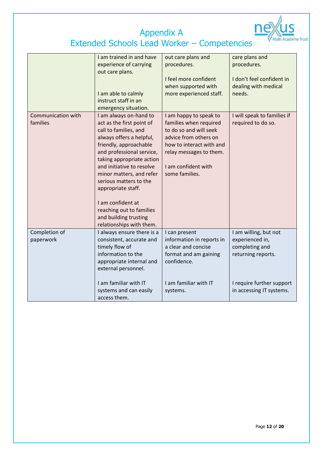

|                    | I am trained in and have   | out care plans and        | care plans and              |
|--------------------|----------------------------|---------------------------|-----------------------------|
|                    | experience of carrying     | procedures.               | procedures.                 |
|                    | out care plans.            |                           |                             |
|                    |                            | I feel more confident     | I don't feel confident in   |
|                    |                            | when supported with       | dealing with medical        |
|                    | I am able to calmly        | more experienced staff.   | needs.                      |
|                    | instruct staff in an       |                           |                             |
|                    | emergency situation.       |                           |                             |
| Communication with | I am always on-hand to     | I am happy to speak to    | I will speak to families if |
| families           | act as the first point of  | families when required    | required to do so.          |
|                    |                            | to do so and will seek    |                             |
|                    | call to families, and      | advice from others on     |                             |
|                    | always offers a helpful,   |                           |                             |
|                    | friendly, approachable     | how to interact with and  |                             |
|                    | and professional service,  | relay messages to them.   |                             |
|                    | taking appropriate action  |                           |                             |
|                    | and initiative to resolve  | I am confident with       |                             |
|                    | minor matters, and refer   | some families.            |                             |
|                    | serious matters to the     |                           |                             |
|                    | appropriate staff.         |                           |                             |
|                    | I am confident at          |                           |                             |
|                    | reaching out to families   |                           |                             |
|                    | and building trusting      |                           |                             |
|                    | relationships with them.   |                           |                             |
| Completion of      | I always ensure there is a | I can present             | I am willing, but not       |
| paperwork          | consistent, accurate and   | information in reports in | experienced in,             |
|                    | timely flow of             | a clear and concise       | completing and              |
|                    | information to the         | format and am gaining     | returning reports.          |
|                    |                            | confidence.               |                             |
|                    | appropriate internal and   |                           |                             |
|                    | external personnel.        |                           |                             |
|                    |                            |                           |                             |
|                    | I am familiar with IT      | I am familiar with IT     | I require further support   |
|                    | systems and can easily     | systems.                  | in accessing IT systems.    |
|                    | access them.               |                           |                             |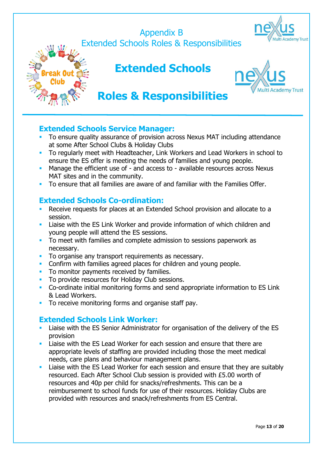### Appendix B Extended Schools Roles & Responsibilities





### **Extended Schools**



### **Roles & Responsibilities**

#### **Extended Schools Service Manager:**

- To ensure quality assurance of provision across Nexus MAT including attendance at some After School Clubs & Holiday Clubs
- To regularly meet with Headteacher, Link Workers and Lead Workers in school to ensure the ES offer is meeting the needs of families and young people.
- Manage the efficient use of and access to available resources across Nexus MAT sites and in the community.
- To ensure that all families are aware of and familiar with the Families Offer.

#### **Extended Schools Co-ordination:**

- **Receive requests for places at an Extended School provision and allocate to a** session.
- Liaise with the ES Link Worker and provide information of which children and young people will attend the ES sessions.
- To meet with families and complete admission to sessions paperwork as necessary.
- **To organise any transport requirements as necessary.**
- **Confirm with families agreed places for children and young people.**
- To monitor payments received by families.
- To provide resources for Holiday Club sessions.
- Co-ordinate initial monitoring forms and send appropriate information to ES Link & Lead Workers.
- To receive monitoring forms and organise staff pay.

#### **Extended Schools Link Worker:**

- Liaise with the ES Senior Administrator for organisation of the delivery of the ES provision
- **Liaise with the ES Lead Worker for each session and ensure that there are** appropriate levels of staffing are provided including those the meet medical needs, care plans and behaviour management plans.
- **Liaise with the ES Lead Worker for each session and ensure that they are suitably** resourced. Each After School Club session is provided with £5.00 worth of resources and 40p per child for snacks/refreshments. This can be a reimbursement to school funds for use of their resources. Holiday Clubs are provided with resources and snack/refreshments from ES Central.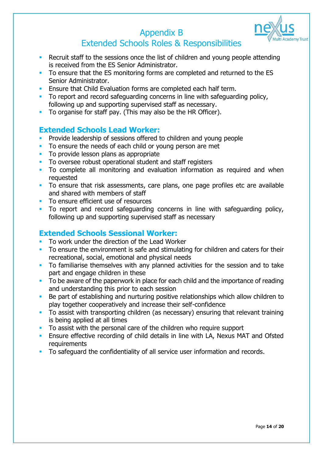

### Appendix B Extended Schools Roles & Responsibilities

- **Recruit staff to the sessions once the list of children and young people attending** is received from the ES Senior Administrator.
- To ensure that the ES monitoring forms are completed and returned to the ES Senior Administrator.
- **Ensure that Child Evaluation forms are completed each half term.**
- To report and record safeguarding concerns in line with safeguarding policy, following up and supporting supervised staff as necessary.
- To organise for staff pay. (This may also be the HR Officer).

#### **Extended Schools Lead Worker:**

- **Provide leadership of sessions offered to children and young people**
- To ensure the needs of each child or young person are met
- **To provide lesson plans as appropriate**
- To oversee robust operational student and staff registers
- To complete all monitoring and evaluation information as required and when requested
- To ensure that risk assessments, care plans, one page profiles etc are available and shared with members of staff
- **To ensure efficient use of resources**
- To report and record safeguarding concerns in line with safeguarding policy, following up and supporting supervised staff as necessary

#### **Extended Schools Sessional Worker:**

- To work under the direction of the Lead Worker
- To ensure the environment is safe and stimulating for children and caters for their recreational, social, emotional and physical needs
- To familiarise themselves with any planned activities for the session and to take part and engage children in these
- To be aware of the paperwork in place for each child and the importance of reading and understanding this prior to each session
- Be part of establishing and nurturing positive relationships which allow children to play together cooperatively and increase their self-confidence
- To assist with transporting children (as necessary) ensuring that relevant training is being applied at all times
- To assist with the personal care of the children who require support
- **Ensure effective recording of child details in line with LA, Nexus MAT and Ofsted** requirements
- To safeguard the confidentiality of all service user information and records.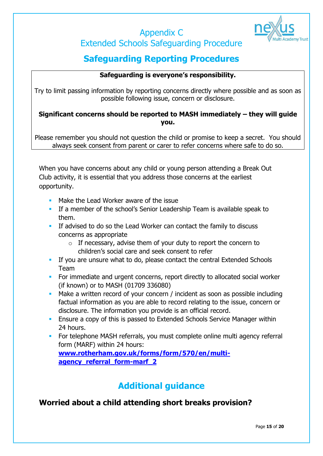# Extended Schools Safeguarding Procedure

Appendix C

### **Safeguarding Reporting Procedures**

#### **Safeguarding is everyone's responsibility.**

Try to limit passing information by reporting concerns directly where possible and as soon as possible following issue, concern or disclosure.

#### **Significant concerns should be reported to MASH immediately – they will guide you.**

Please remember you should not question the child or promise to keep a secret. You should always seek consent from parent or carer to refer concerns where safe to do so.

When you have concerns about any child or young person attending a Break Out Club activity, it is essential that you address those concerns at the earliest opportunity.

- Make the Lead Worker aware of the issue
- **If a member of the school's Senior Leadership Team is available speak to** them.
- **If advised to do so the Lead Worker can contact the family to discuss** concerns as appropriate
	- $\circ$  If necessary, advise them of your duty to report the concern to children's social care and seek consent to refer
- **If you are unsure what to do, please contact the central Extended Schools** Team
- For immediate and urgent concerns, report directly to allocated social worker (if known) or to MASH (01709 336080)
- **Make a written record of your concern / incident as soon as possible including** factual information as you are able to record relating to the issue, concern or disclosure. The information you provide is an official record.
- **Ensure a copy of this is passed to Extended Schools Service Manager within** 24 hours.
- **For telephone MASH referrals, you must complete online multi agency referral** form (MARF) within 24 hours: **[www.rotherham.gov.uk/forms/form/570/en/multi](http://www.rotherham.gov.uk/forms/form/570/en/multi-agency_referral_form-marf_2)[agency\\_referral\\_form-marf\\_2](http://www.rotherham.gov.uk/forms/form/570/en/multi-agency_referral_form-marf_2)**

### **Additional guidance**

**Worried about a child attending short breaks provision?**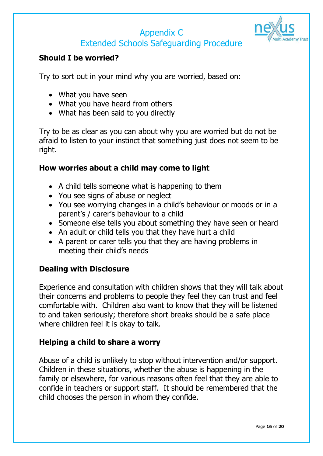### Appendix C Extended Schools Safeguarding Procedure



#### **Should I be worried?**

Try to sort out in your mind why you are worried, based on:

- What you have seen
- What you have heard from others
- What has been said to you directly

Try to be as clear as you can about why you are worried but do not be afraid to listen to your instinct that something just does not seem to be right.

#### **How worries about a child may come to light**

- A child tells someone what is happening to them
- You see signs of abuse or neglect
- You see worrying changes in a child's behaviour or moods or in a parent's / carer's behaviour to a child
- Someone else tells you about something they have seen or heard
- An adult or child tells you that they have hurt a child
- A parent or carer tells you that they are having problems in meeting their child's needs

#### **Dealing with Disclosure**

Experience and consultation with children shows that they will talk about their concerns and problems to people they feel they can trust and feel comfortable with. Children also want to know that they will be listened to and taken seriously; therefore short breaks should be a safe place where children feel it is okay to talk.

#### **Helping a child to share a worry**

Abuse of a child is unlikely to stop without intervention and/or support. Children in these situations, whether the abuse is happening in the family or elsewhere, for various reasons often feel that they are able to confide in teachers or support staff. It should be remembered that the child chooses the person in whom they confide.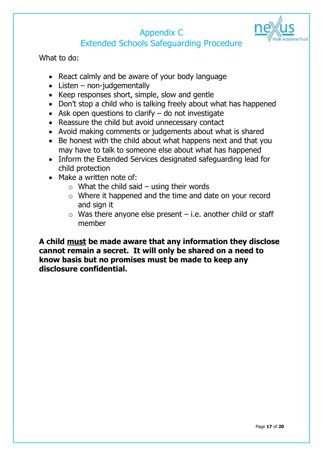

### Appendix C Extended Schools Safeguarding Procedure

What to do:

- React calmly and be aware of your body language
- $\bullet$  Listen non-judgementally
- Keep responses short, simple, slow and gentle
- Don't stop a child who is talking freely about what has happened
- $\bullet$  Ask open questions to clarify  $-$  do not investigate
- Reassure the child but avoid unnecessary contact
- Avoid making comments or judgements about what is shared
- Be honest with the child about what happens next and that you may have to talk to someone else about what has happened
- Inform the Extended Services designated safeguarding lead for child protection
- Make a written note of:
	- $\circ$  What the child said using their words
	- o Where it happened and the time and date on your record and sign it
	- $\circ$  Was there anyone else present i.e. another child or staff member

**A child must be made aware that any information they disclose cannot remain a secret. It will only be shared on a need to know basis but no promises must be made to keep any disclosure confidential.**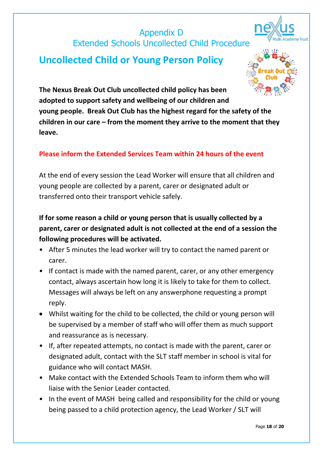### Appendix D Extended Schools Uncollected Child Procedure





**The Nexus Break Out Club uncollected child policy has been adopted to support safety and wellbeing of our children and young people. Break Out Club has the highest regard for the safety of the children in our care – from the moment they arrive to the moment that they leave.**

#### **Please inform the Extended Services Team within 24 hours of the event**

At the end of every session the Lead Worker will ensure that all children and young people are collected by a parent, carer or designated adult or transferred onto their transport vehicle safely.

**If for some reason a child or young person that is usually collected by a parent, carer or designated adult is not collected at the end of a session the following procedures will be activated.**

- After 5 minutes the lead worker will try to contact the named parent or carer.
- If contact is made with the named parent, carer, or any other emergency contact, always ascertain how long it is likely to take for them to collect. Messages will always be left on any answerphone requesting a prompt reply.
- Whilst waiting for the child to be collected, the child or young person will be supervised by a member of staff who will offer them as much support and reassurance as is necessary.
- If, after repeated attempts, no contact is made with the parent, carer or designated adult, contact with the SLT staff member in school is vital for guidance who will contact MASH.
- Make contact with the Extended Schools Team to inform them who will liaise with the Senior Leader contacted.
- In the event of MASH being called and responsibility for the child or young being passed to a child protection agency, the Lead Worker / SLT will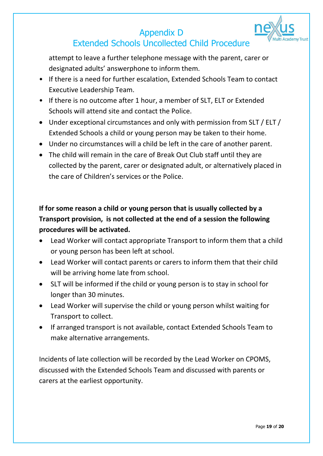### Appendix D Extended Schools Uncollected Child Procedure



attempt to leave a further telephone message with the parent, carer or designated adults' answerphone to inform them.

- If there is a need for further escalation, Extended Schools Team to contact Executive Leadership Team.
- If there is no outcome after 1 hour, a member of SLT, ELT or Extended Schools will attend site and contact the Police.
- Under exceptional circumstances and only with permission from SLT / ELT / Extended Schools a child or young person may be taken to their home.
- Under no circumstances will a child be left in the care of another parent.
- The child will remain in the care of Break Out Club staff until they are collected by the parent, carer or designated adult, or alternatively placed in the care of Children's services or the Police.

### **If for some reason a child or young person that is usually collected by a Transport provision, is not collected at the end of a session the following procedures will be activated.**

- Lead Worker will contact appropriate Transport to inform them that a child or young person has been left at school.
- Lead Worker will contact parents or carers to inform them that their child will be arriving home late from school.
- SLT will be informed if the child or young person is to stay in school for longer than 30 minutes.
- Lead Worker will supervise the child or young person whilst waiting for Transport to collect.
- If arranged transport is not available, contact Extended Schools Team to make alternative arrangements.

Incidents of late collection will be recorded by the Lead Worker on CPOMS, discussed with the Extended Schools Team and discussed with parents or carers at the earliest opportunity.